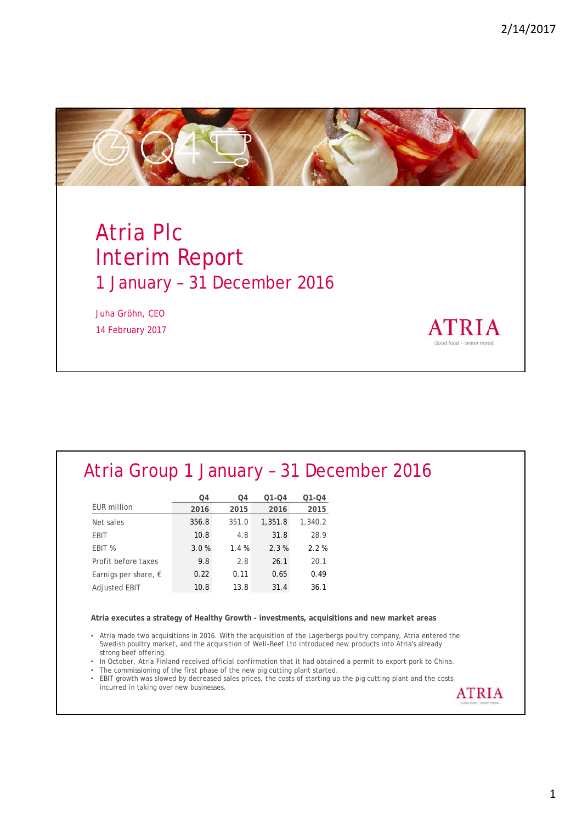**ATRIA** 



# Atria Plc Interim Report 1 January – 31 December 2016

Juha Gröhn, CEO 14 February 2017

#### Atria Group 1 January – 31 December 2016

|                               | O4    | O4    | $Q1 - Q4$ | $Q1 - Q4$ |
|-------------------------------|-------|-------|-----------|-----------|
| <b>EUR</b> million            | 2016  | 2015  | 2016      | 2015      |
| Net sales                     | 356.8 | 351.0 | 1,351.8   | 1,340.2   |
| <b>EBIT</b>                   | 10.8  | 4.8   | 31.8      | 28.9      |
| EBIT %                        | 3.0%  | 1.4%  | 2.3%      | 2.2%      |
| Profit before taxes           | 9.8   | 2.8   | 26.1      | 20.1      |
| Earnigs per share, $\epsilon$ | 0.22  | 0.11  | 0.65      | 0.49      |
| <b>Adjusted EBIT</b>          | 10.8  | 13.8  | 31.4      | 36.1      |

**Atria executes a strategy of Healthy Growth - investments, acquisitions and new market areas**

• Atria made two acquisitions in 2016. With the acquisition of the Lagerbergs poultry company, Atria entered the Swedish poultry market, and the acquisition of Well-Beef Ltd introduced new products into Atria's already strong beef offering.

• In October, Atria Finland received official confirmation that it had obtained a permit to export pork to China.

- The commissioning of the first phase of the new pig cutting plant started.
- EBIT growth was slowed by decreased sales prices, the costs of starting up the pig cutting plant and the costs incurred in taking over new businesses.**ATRIA**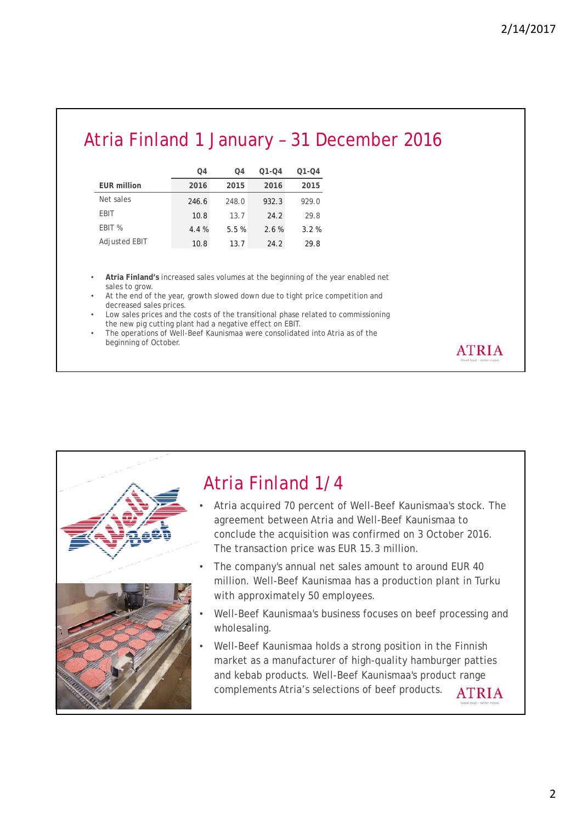**ATRIA** 

### Atria Finland 1 January – 31 December 2016

|                      | O4    | O4    | $01 - 04$ | Q1-Q4 |
|----------------------|-------|-------|-----------|-------|
| <b>EUR million</b>   | 2016  | 2015  | 2016      | 2015  |
| Net sales            | 246.6 | 248.0 | 932.3     | 929.0 |
| EBIT                 | 10.8  | 13.7  | 24.2      | 29.8  |
| EBIT %               | 4.4%  | 5.5%  | 2.6%      | 3.2%  |
| <b>Adjusted EBIT</b> | 10.8  | 13.7  | 24.2      | 29.8  |

• **Atria Finland's** increased sales volumes at the beginning of the year enabled net sales to grow.

At the end of the year, growth slowed down due to tight price competition and decreased sales prices.

Low sales prices and the costs of the transitional phase related to commissioning the new pig cutting plant had a negative effect on EBIT.

• The operations of Well-Beef Kaunismaa were consolidated into Atria as of the beginning of October.

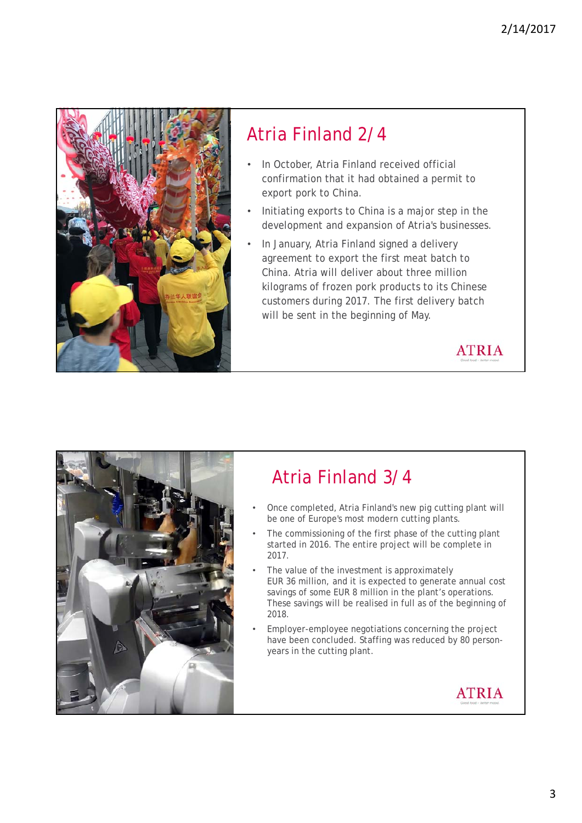

### Atria Finland 2/4

- In October, Atria Finland received official confirmation that it had obtained a permit to export pork to China.
- Initiating exports to China is a major step in the development and expansion of Atria's businesses.
- In January, Atria Finland signed a delivery agreement to export the first meat batch to China. Atria will deliver about three million kilograms of frozen pork products to its Chinese customers during 2017. The first delivery batch will be sent in the beginning of May.

**ATRIA** 



## Atria Finland 3/4

- Once completed, Atria Finland's new pig cutting plant will be one of Europe's most modern cutting plants.
- The commissioning of the first phase of the cutting plant started in 2016. The entire project will be complete in 2017.
- The value of the investment is approximately EUR 36 million, and it is expected to generate annual cost savings of some EUR 8 million in the plant's operations. These savings will be realised in full as of the beginning of 2018.
- Employer-employee negotiations concerning the project have been concluded. Staffing was reduced by 80 personyears in the cutting plant.

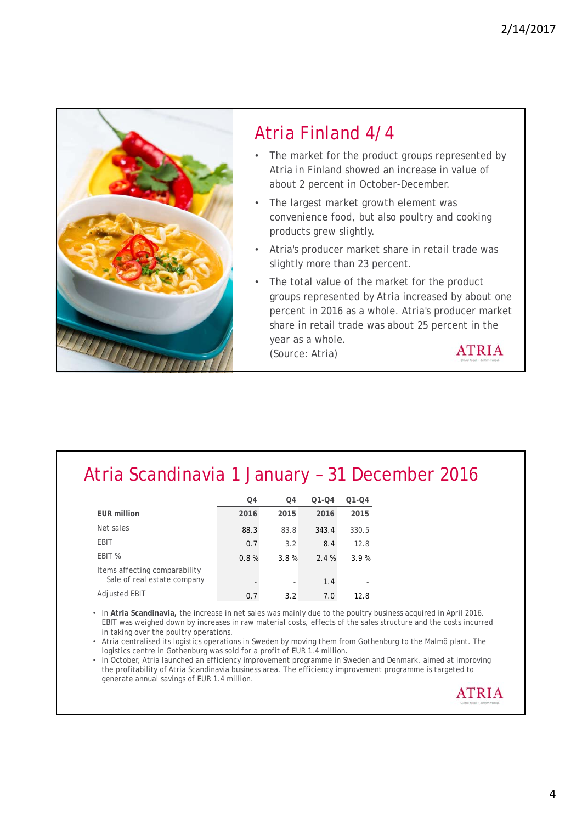

### Atria Scandinavia 1 January – 31 December 2016

|                                                              | O <sub>4</sub> | O <sub>4</sub>           | $Q1 - Q4$ | $Q1 - Q4$ |
|--------------------------------------------------------------|----------------|--------------------------|-----------|-----------|
| <b>EUR million</b>                                           | 2016           | 2015                     | 2016      | 2015      |
| Net sales                                                    | 88.3           | 83.8                     | 343.4     | 330.5     |
| EBIT                                                         | 0.7            | 3.2                      | 8.4       | 12.8      |
| EBIT %                                                       | 0.8%           | 3.8%                     | 2.4%      | 3.9%      |
| Items affecting comparability<br>Sale of real estate company |                | $\overline{\phantom{a}}$ | 1.4       |           |
| Adjusted EBIT                                                | 0.7            | 3.2                      | 7.0       | 12.8      |

• In **Atria Scandinavia,** the increase in net sales was mainly due to the poultry business acquired in April 2016. EBIT was weighed down by increases in raw material costs, effects of the sales structure and the costs incurred in taking over the poultry operations.

• Atria centralised its logistics operations in Sweden by moving them from Gothenburg to the Malmö plant. The logistics centre in Gothenburg was sold for a profit of EUR 1.4 million.

• In October, Atria launched an efficiency improvement programme in Sweden and Denmark, aimed at improving the profitability of Atria Scandinavia business area. The efficiency improvement programme is targeted to generate annual savings of EUR 1.4 million.

**ATRIA**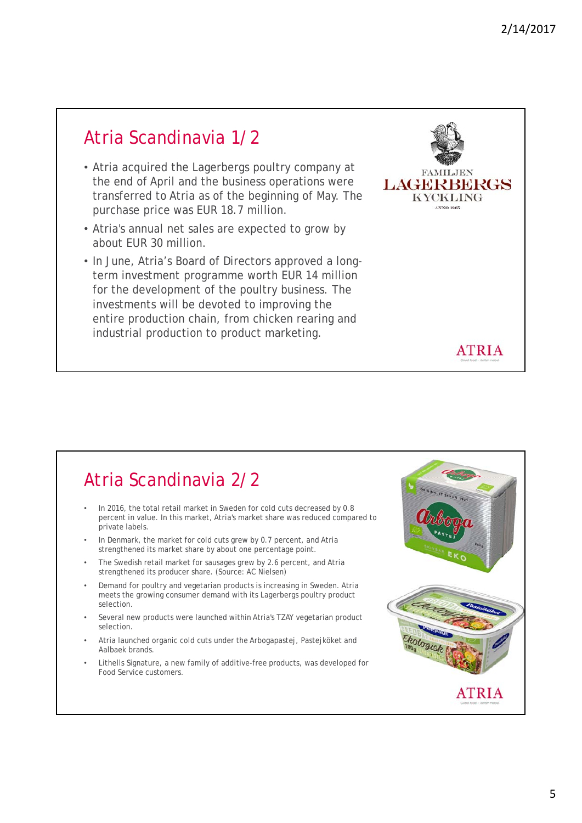#### Atria Scandinavia 1/2

- Atria acquired the Lagerbergs poultry company at the end of April and the business operations were transferred to Atria as of the beginning of May. The purchase price was EUR 18.7 million.
- Atria's annual net sales are expected to grow by about EUR 30 million.
- In June, Atria's Board of Directors approved a longterm investment programme worth EUR 14 million for the development of the poultry business. The investments will be devoted to improving the entire production chain, from chicken rearing and industrial production to product marketing.



#### Atria Scandinavia 2/2

- In 2016, the total retail market in Sweden for cold cuts decreased by 0.8 percent in value. In this market, Atria's market share was reduced compared to private labels.
- In Denmark, the market for cold cuts grew by 0.7 percent, and Atria strengthened its market share by about one percentage point.
- The Swedish retail market for sausages grew by 2.6 percent, and Atria strengthened its producer share. (Source: AC Nielsen)
- Demand for poultry and vegetarian products is increasing in Sweden. Atria meets the growing consumer demand with its Lagerbergs poultry product selection.
- Several new products were launched within Atria's TZAY vegetarian product selection.
- Atria launched organic cold cuts under the Arbogapastej, Pastejköket and Aalbaek brands.
- Lithells Signature, a new family of additive-free products, was developed for Food Service customers.

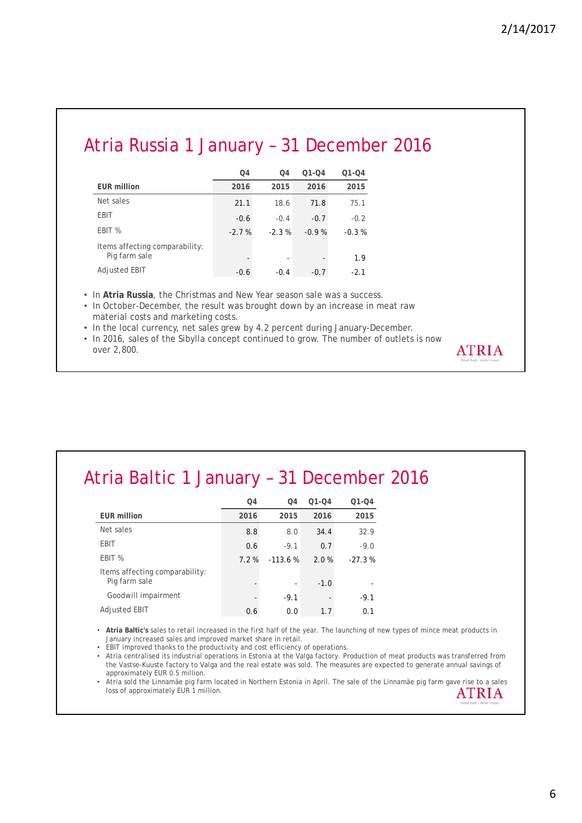**ATRIA** 

### Atria Russia 1 January – 31 December 2016

|                                                 | O4      | O <sub>4</sub> | $Q1 - Q4$ | $Q1 - Q4$ |
|-------------------------------------------------|---------|----------------|-----------|-----------|
| <b>EUR million</b>                              | 2016    | 2015           | 2016      | 2015      |
| Net sales                                       | 21.1    | 18.6           | 71.8      | 75.1      |
| EBIT                                            | $-0.6$  | $-0.4$         | $-0.7$    | $-0.2$    |
| EBIT %                                          | $-2.7%$ | $-2.3%$        | $-0.9%$   | $-0.3%$   |
| Items affecting comparability:<br>Pig farm sale |         | -              |           | 1.9       |
| Adjusted EBIT                                   | $-0.6$  | $-0.4$         | $-0.7$    | $-2.1$    |

• In **Atria Russia**, the Christmas and New Year season sale was a success.

• In October-December, the result was brought down by an increase in meat raw material costs and marketing costs.

• In the local currency, net sales grew by 4.2 percent during January-December.

• In 2016, sales of the Sibylla concept continued to grow. The number of outlets is now over 2,800.

### Atria Baltic 1 January – 31 December 2016

|                                                 | O <sub>4</sub> | 04        | $Q1 - Q4$ | $Q1 - Q4$ |
|-------------------------------------------------|----------------|-----------|-----------|-----------|
| <b>EUR million</b>                              | 2016           | 2015      | 2016      | 2015      |
| Net sales                                       | 8.8            | 8.0       | 34.4      | 32.9      |
| EBIT                                            | 0.6            | $-9.1$    | 0.7       | $-9.0$    |
| EBIT %                                          | $7.2\%$        | $-113.6%$ | 2.0%      | $-27.3%$  |
| Items affecting comparability:<br>Pig farm sale |                |           | $-1.0$    |           |
| Goodwill impairment                             |                | $-9.1$    |           | $-9.1$    |
| <b>Adjusted EBIT</b>                            | 0.6            | 0.0       | 1.7       | 0.1       |

• **Atria Baltic's** sales to retail increased in the first half of the year. The launching of new types of mince meat products in January increased sales and improved market share in retail.

• EBIT improved thanks to the productivity and cost efficiency of operations.

• Atria centralised its industrial operations in Estonia at the Valga factory. Production of meat products was transferred from the Vastse-Kuuste factory to Valga and the real estate was sold. The measures are expected to generate annual savings of approximately EUR 0.5 million.

• Atria sold the Linnamäe pig farm located in Northern Estonia in April. The sale of the Linnamäe pig farm gave rise to a sales loss of approximately EUR 1 million. **ATRIA**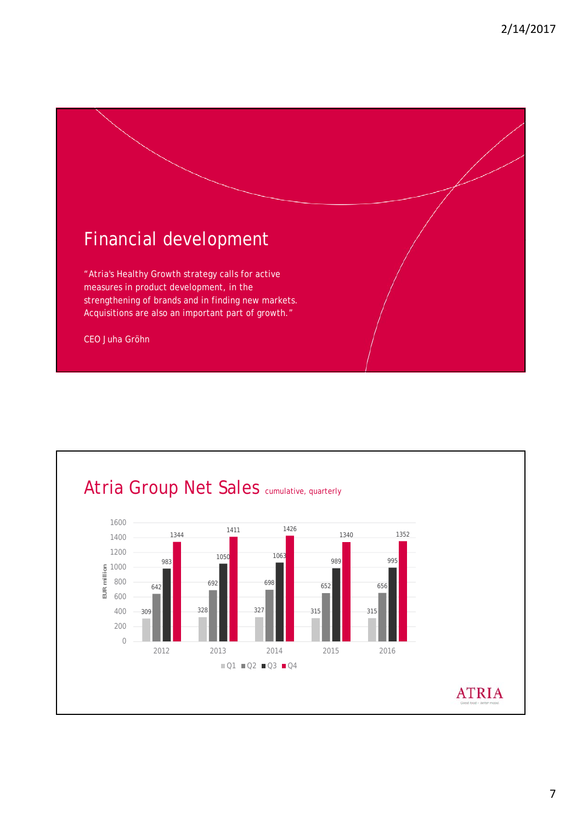

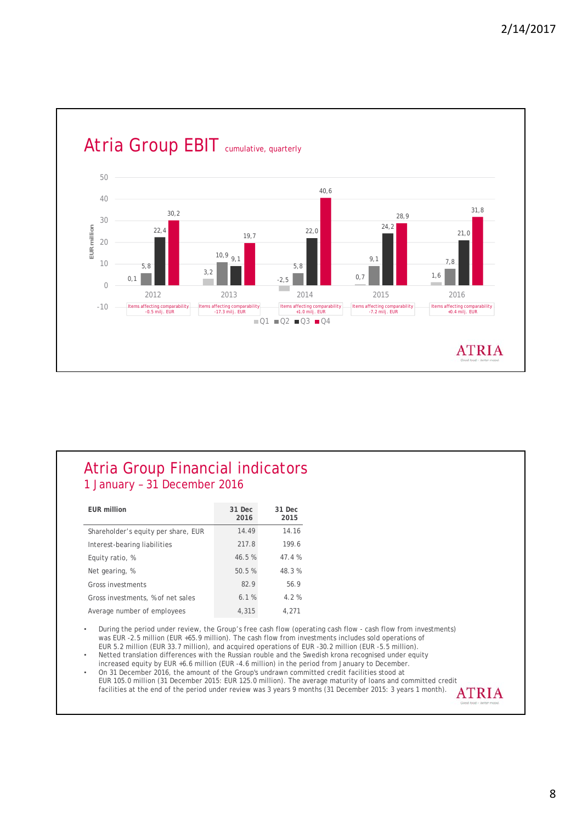

#### Atria Group Financial indicators 1 January – 31 December 2016

| <b>EUR million</b>                  | 31 Dec<br>2016 | 31 Dec<br>2015 |
|-------------------------------------|----------------|----------------|
| Shareholder's equity per share, EUR | 14.49          | 14.16          |
| Interest-bearing liabilities        | 217.8          | 199.6          |
| Equity ratio, %                     | 46.5%          | 47.4 %         |
| Net gearing, %                      | 50.5%          | 48.3%          |
| Gross investments                   | 82.9           | 56.9           |
| Gross investments, % of net sales   | 6.1%           | 4.2%           |
| Average number of employees         | 4,315          | 4,271          |

• During the period under review, the Group's free cash flow (operating cash flow - cash flow from investments) was EUR -2.5 million (EUR +65.9 million). The cash flow from investments includes sold operations of EUR 5.2 million (EUR 33.7 million), and acquired operations of EUR -30.2 million (EUR -5.5 million).

• Netted translation differences with the Russian rouble and the Swedish krona recognised under equity increased equity by EUR +6.6 million (EUR -4.6 million) in the period from January to December.

• On 31 December 2016, the amount of the Group's undrawn committed credit facilities stood at EUR 105.0 million (31 December 2015: EUR 125.0 million). The average maturity of loans and committed credit facilities at the end of the period under review was 3 years 9 months (31 December 2015: 3 years 1 month). **ATRIA**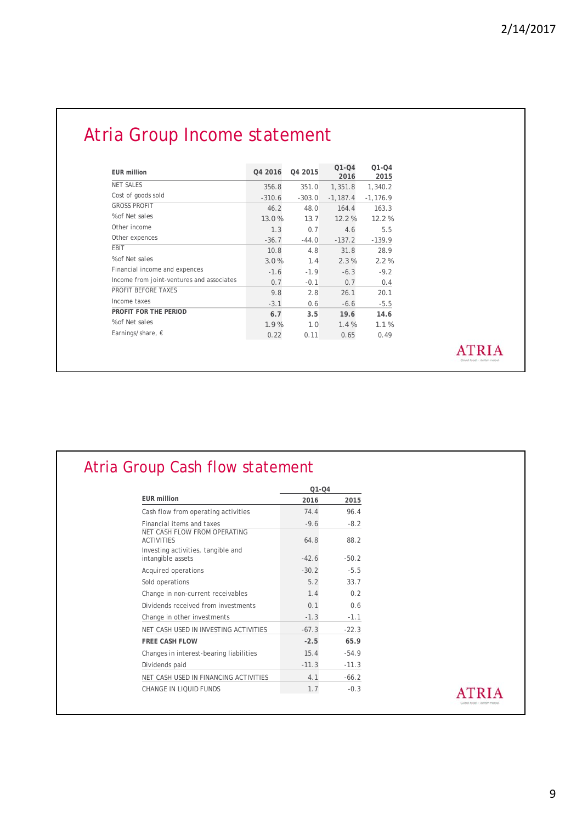# Atria Group Income statement

| <b>EUR million</b>                        | 04 2016  | 04 2015  | $O1 - O4$<br>2016 | $O1 - O4$<br>2015 |
|-------------------------------------------|----------|----------|-------------------|-------------------|
| <b>NET SALES</b>                          | 356.8    | 351.0    | 1,351.8           | 1,340.2           |
| Cost of goods sold                        | $-310.6$ | $-303.0$ | $-1.187.4$        | $-1, 176.9$       |
| <b>GROSS PROFIT</b>                       | 46.2     | 48.0     | 164.4             | 163.3             |
| % of Net sales                            | 13.0%    | 13.7     | 12.2%             | 12.2%             |
| Other income                              | 1.3      | 0.7      | 4.6               | 5.5               |
| Other expences                            | $-36.7$  | $-44.0$  | $-137.2$          | $-139.9$          |
| EBIT                                      | 10.8     | 4.8      | 31.8              | 28.9              |
| % of Net sales                            | 3.0%     | 1.4      | 2.3%              | 2.2%              |
| Financial income and expences             | $-1.6$   | $-1.9$   | $-6.3$            | $-9.2$            |
| Income from joint-ventures and associates | 0.7      | $-0.1$   | 0.7               | 0.4               |
| PROFIT BEFORE TAXES                       | 9.8      | 2.8      | 26.1              | 20.1              |
| Income taxes                              | $-3.1$   | 0.6      | $-6.6$            | $-5.5$            |
| PROFIT FOR THE PERIOD                     | 6.7      | 3.5      | 19.6              | 14.6              |
| % of Net sales                            | 1.9%     | 1.0      | 1.4%              | 1.1%              |
| Earnings/share, $\epsilon$                | 0.22     | 0.11     | 0.65              | 0.49              |

**ATRIA** 

|                                                         | $Q1 - Q4$ |         |  |
|---------------------------------------------------------|-----------|---------|--|
| <b>EUR million</b>                                      | 2016      | 2015    |  |
| Cash flow from operating activities                     | 74.4      | 96.4    |  |
| Financial items and taxes                               | $-9.6$    | $-8.2$  |  |
| NET CASH FLOW FROM OPERATING<br><b>ACTIVITIES</b>       | 64.8      | 88.2    |  |
| Investing activities, tangible and<br>intangible assets | $-42.6$   | $-50.2$ |  |
| Acquired operations                                     | $-30.2$   | $-5.5$  |  |
| Sold operations                                         | 5.2       | 33.7    |  |
| Change in non-current receivables                       | 1.4       | 0.2     |  |
| Dividends received from investments                     | 0.1       | 0.6     |  |
| Change in other investments                             | $-1.3$    | $-1.1$  |  |
| NET CASH USED IN INVESTING ACTIVITIES                   | $-67.3$   | $-22.3$ |  |
| <b>FREE CASH FLOW</b>                                   | $-2.5$    | 65.9    |  |
| Changes in interest-bearing liabilities                 | 15.4      | $-54.9$ |  |
| Dividends paid                                          | $-11.3$   | $-11.3$ |  |
| NET CASH USED IN FINANCING ACTIVITIES                   | 4.1       | $-66.2$ |  |
| CHANGE IN LIQUID FUNDS                                  | 1.7       | $-0.3$  |  |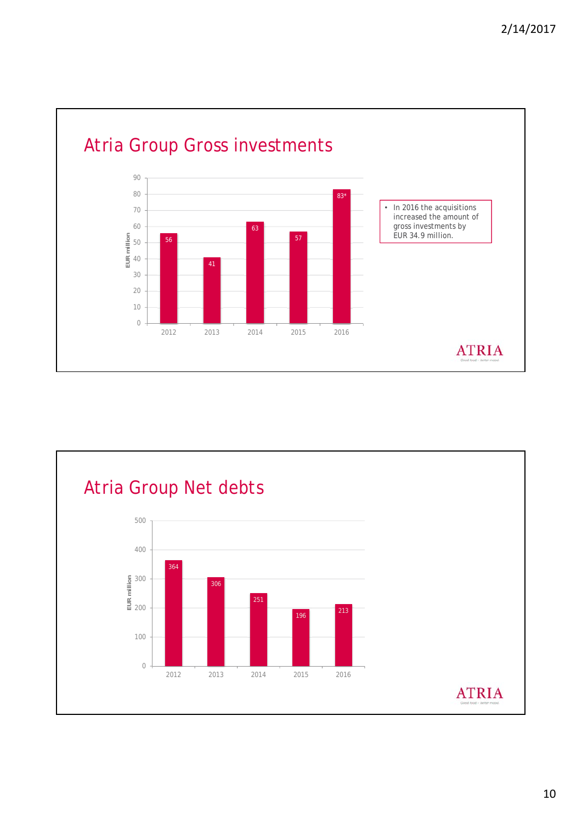

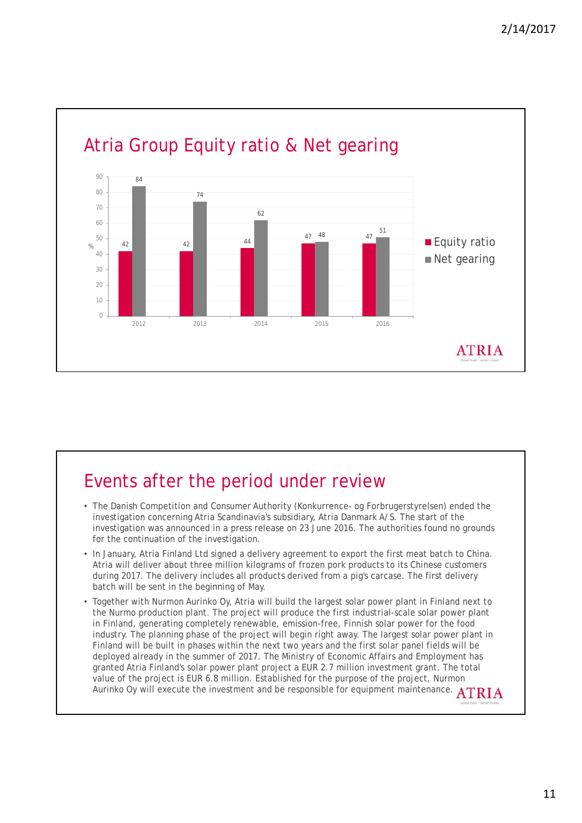

# Events after the period under review

- The Danish Competition and Consumer Authority (Konkurrence- og Forbrugerstyrelsen) ended the investigation concerning Atria Scandinavia's subsidiary, Atria Danmark A/S. The start of the investigation was announced in a press release on 23 June 2016. The authorities found no grounds for the continuation of the investigation.
- In January, Atria Finland Ltd signed a delivery agreement to export the first meat batch to China. Atria will deliver about three million kilograms of frozen pork products to its Chinese customers during 2017. The delivery includes all products derived from a pig's carcase. The first delivery batch will be sent in the beginning of May.
- Together with Nurmon Aurinko Oy, Atria will build the largest solar power plant in Finland next to the Nurmo production plant. The project will produce the first industrial-scale solar power plant in Finland, generating completely renewable, emission-free, Finnish solar power for the food industry. The planning phase of the project will begin right away. The largest solar power plant in Finland will be built in phases within the next two years and the first solar panel fields will be deployed already in the summer of 2017. The Ministry of Economic Affairs and Employment has granted Atria Finland's solar power plant project a EUR 2.7 million investment grant. The total value of the project is EUR 6.8 million. Established for the purpose of the project, Nurmon Aurinko Oy will execute the investment and be responsible for equipment maintenance. ATRIA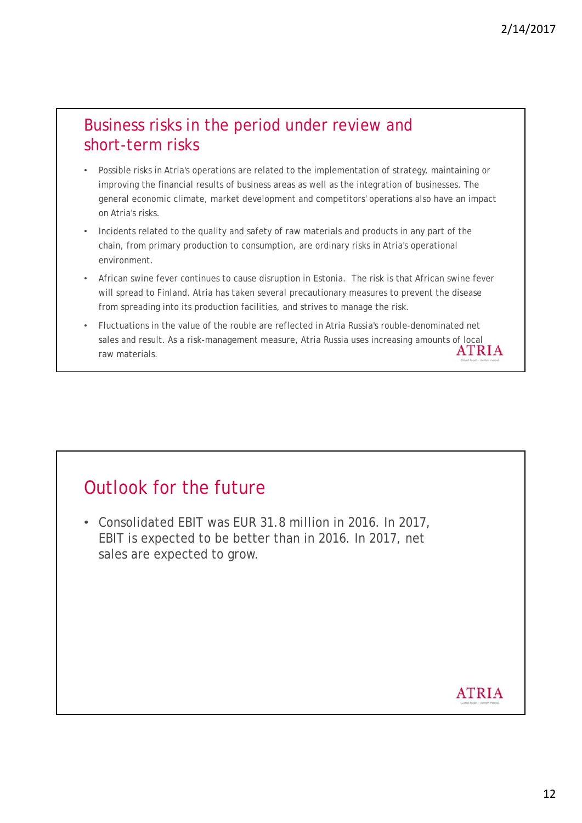#### Business risks in the period under review and short-term risks

- Possible risks in Atria's operations are related to the implementation of strategy, maintaining or improving the financial results of business areas as well as the integration of businesses. The general economic climate, market development and competitors' operations also have an impact on Atria's risks.
- Incidents related to the quality and safety of raw materials and products in any part of the chain, from primary production to consumption, are ordinary risks in Atria's operational environment.
- African swine fever continues to cause disruption in Estonia. The risk is that African swine fever will spread to Finland. Atria has taken several precautionary measures to prevent the disease from spreading into its production facilities, and strives to manage the risk.
- Fluctuations in the value of the rouble are reflected in Atria Russia's rouble-denominated net sales and result. As a risk-management measure, Atria Russia uses increasing amounts of local<br>ATRIA raw materials.

### Outlook for the future

• Consolidated EBIT was EUR 31.8 million in 2016. In 2017, EBIT is expected to be better than in 2016. In 2017, net sales are expected to grow.

#### **ATRIA**